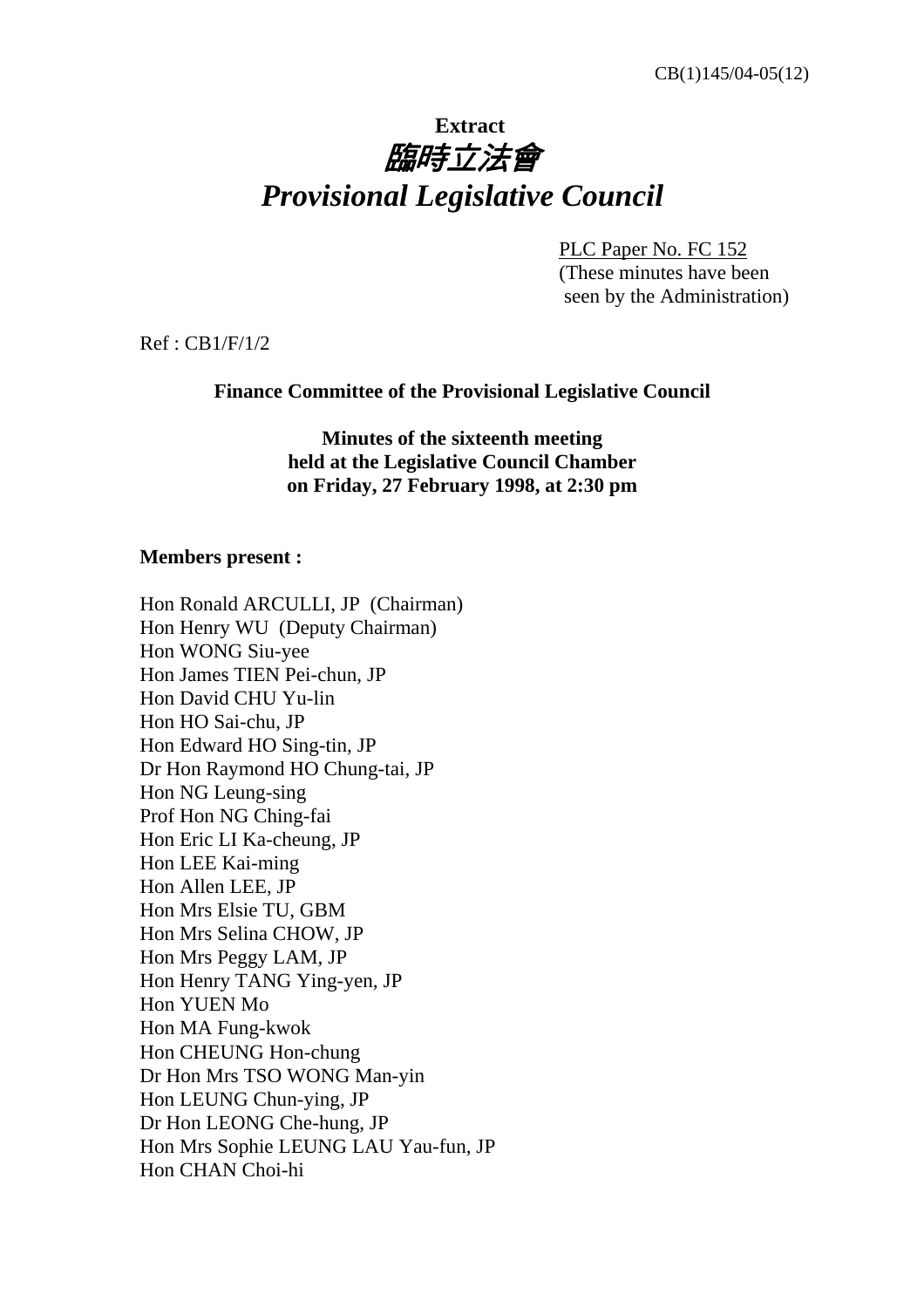# **Extract** 臨時立法會 *Provisional Legislative Council*

 PLC Paper No. FC 152 (These minutes have been seen by the Administration)

Ref : CB1/F/1/2

**Finance Committee of the Provisional Legislative Council** 

**Minutes of the sixteenth meeting held at the Legislative Council Chamber on Friday, 27 February 1998, at 2:30 pm** 

### **Members present :**

Hon Ronald ARCULLI, JP (Chairman) Hon Henry WU (Deputy Chairman) Hon WONG Siu-yee Hon James TIEN Pei-chun, JP Hon David CHU Yu-lin Hon HO Sai-chu, JP Hon Edward HO Sing-tin, JP Dr Hon Raymond HO Chung-tai, JP Hon NG Leung-sing Prof Hon NG Ching-fai Hon Eric LI Ka-cheung, JP Hon LEE Kai-ming Hon Allen LEE, JP Hon Mrs Elsie TU, GBM Hon Mrs Selina CHOW, JP Hon Mrs Peggy LAM, JP Hon Henry TANG Ying-yen, JP Hon YUEN Mo Hon MA Fung-kwok Hon CHEUNG Hon-chung Dr Hon Mrs TSO WONG Man-yin Hon LEUNG Chun-ying, JP Dr Hon LEONG Che-hung, JP Hon Mrs Sophie LEUNG LAU Yau-fun, JP Hon CHAN Choi-hi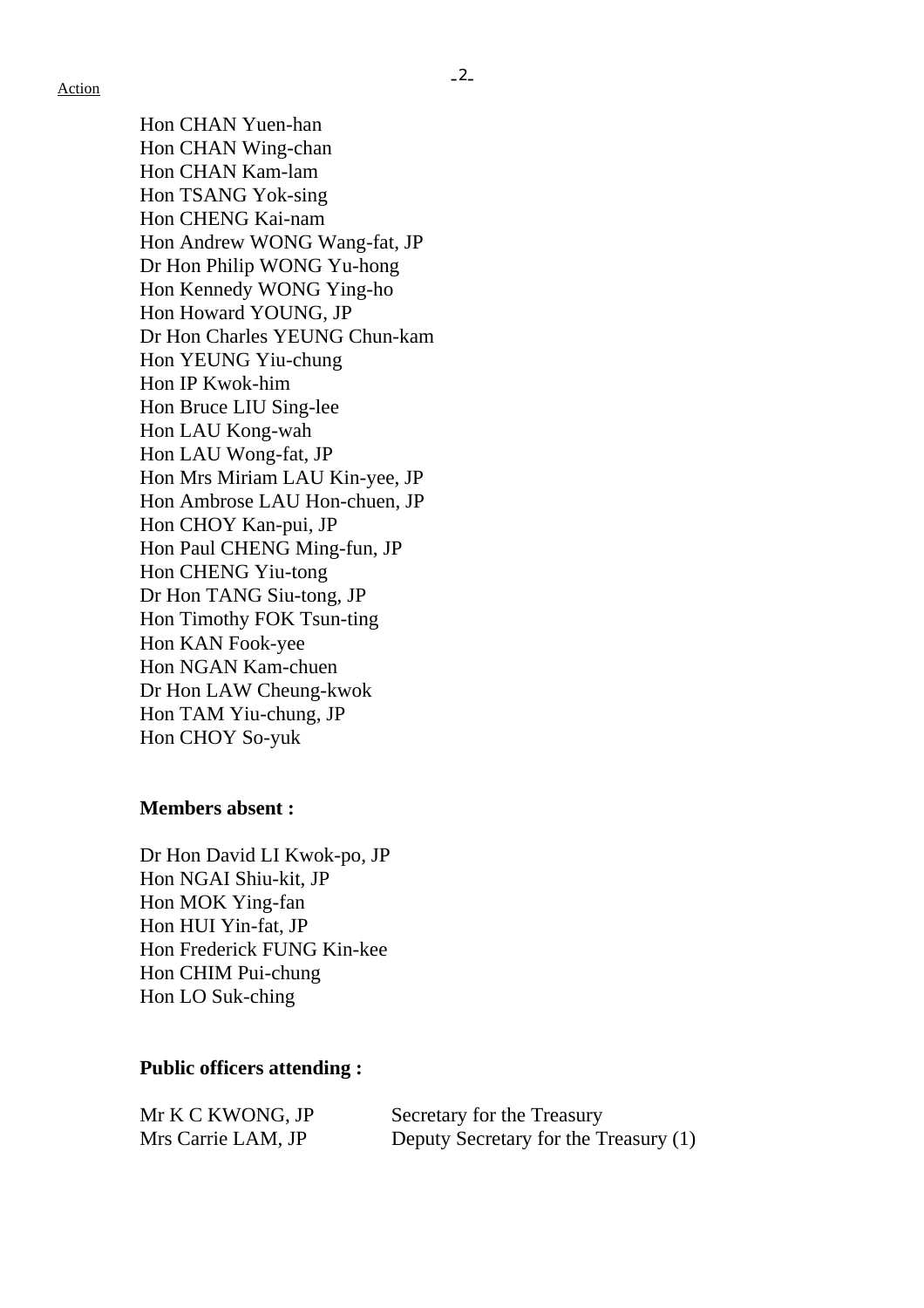Action

Hon CHAN Yuen-han Hon CHAN Wing-chan Hon CHAN Kam-lam Hon TSANG Yok-sing Hon CHENG Kai-nam Hon Andrew WONG Wang-fat, JP Dr Hon Philip WONG Yu-hong Hon Kennedy WONG Ying-ho Hon Howard YOUNG, JP Dr Hon Charles YEUNG Chun-kam Hon YEUNG Yiu-chung Hon IP Kwok-him Hon Bruce LIU Sing-lee Hon LAU Kong-wah Hon LAU Wong-fat, JP Hon Mrs Miriam LAU Kin-yee, JP Hon Ambrose LAU Hon-chuen, JP Hon CHOY Kan-pui, JP Hon Paul CHENG Ming-fun, JP Hon CHENG Yiu-tong Dr Hon TANG Siu-tong, JP Hon Timothy FOK Tsun-ting Hon KAN Fook-yee Hon NGAN Kam-chuen Dr Hon LAW Cheung-kwok Hon TAM Yiu-chung, JP Hon CHOY So-yuk

### **Members absent :**

Dr Hon David LI Kwok-po, JP Hon NGAI Shiu-kit, JP Hon MOK Ying-fan Hon HUI Yin-fat, JP Hon Frederick FUNG Kin-kee Hon CHIM Pui-chung Hon LO Suk-ching

### **Public officers attending :**

| Mr K C KWONG, JP   | Secretary for the Treasury            |
|--------------------|---------------------------------------|
| Mrs Carrie LAM, JP | Deputy Secretary for the Treasury (1) |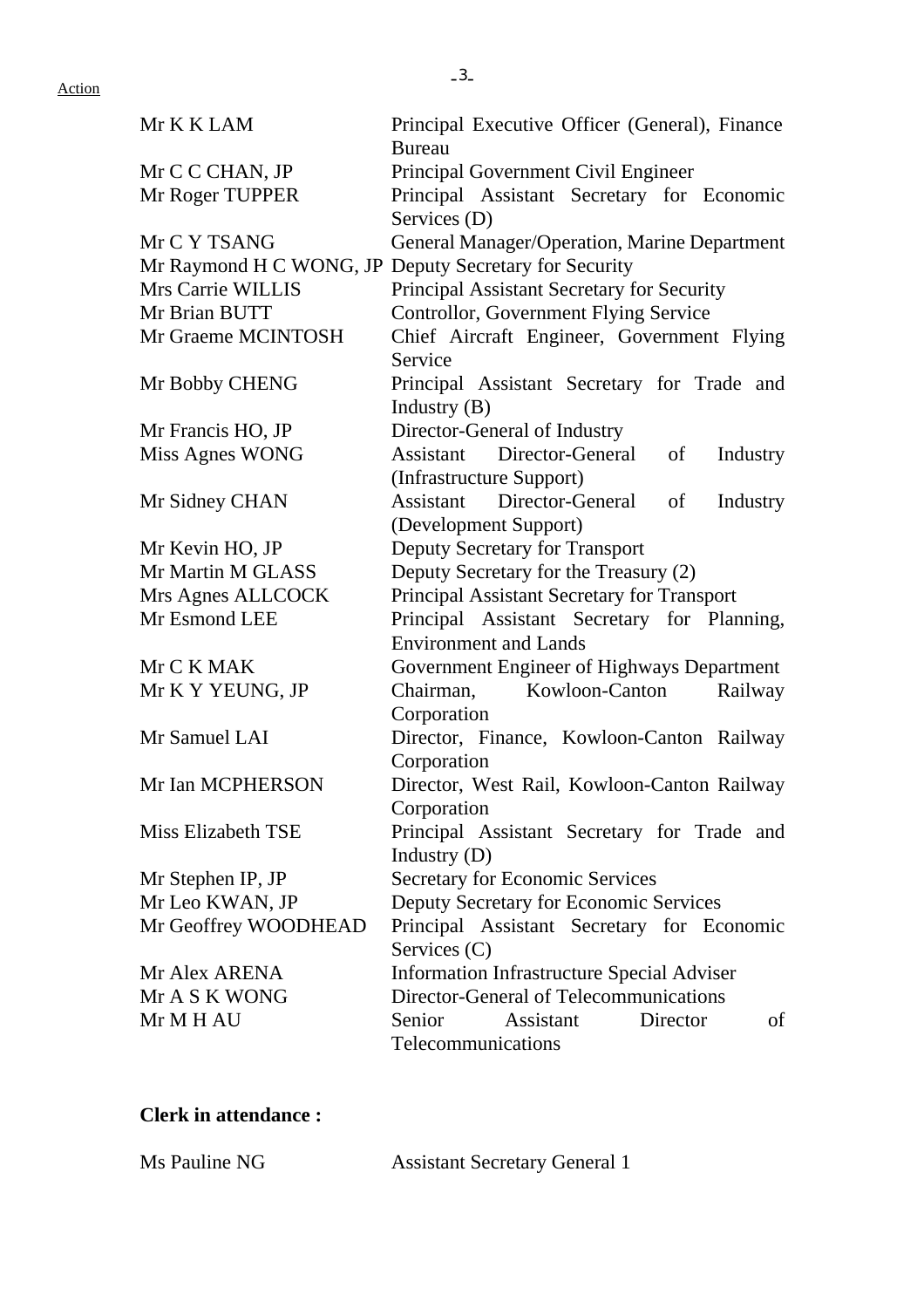| Mr K K LAM                | Principal Executive Officer (General), Finance<br><b>Bureau</b> |  |  |  |  |
|---------------------------|-----------------------------------------------------------------|--|--|--|--|
| Mr C C CHAN, JP           | Principal Government Civil Engineer                             |  |  |  |  |
| Mr Roger TUPPER           | Principal Assistant Secretary for Economic                      |  |  |  |  |
|                           | Services (D)                                                    |  |  |  |  |
| Mr C Y TSANG              | General Manager/Operation, Marine Department                    |  |  |  |  |
|                           | Mr Raymond H C WONG, JP Deputy Secretary for Security           |  |  |  |  |
| Mrs Carrie WILLIS         | Principal Assistant Secretary for Security                      |  |  |  |  |
| Mr Brian BUTT             | Controllor, Government Flying Service                           |  |  |  |  |
| Mr Graeme MCINTOSH        | Chief Aircraft Engineer, Government Flying                      |  |  |  |  |
|                           | Service                                                         |  |  |  |  |
| Mr Bobby CHENG            | Principal Assistant Secretary for Trade and                     |  |  |  |  |
|                           | Industry $(B)$                                                  |  |  |  |  |
| Mr Francis HO, JP         | Director-General of Industry                                    |  |  |  |  |
| Miss Agnes WONG           | Assistant Director-General<br>of<br>Industry                    |  |  |  |  |
|                           | (Infrastructure Support)                                        |  |  |  |  |
| Mr Sidney CHAN            | Assistant Director-General<br>Industry<br>of                    |  |  |  |  |
|                           | (Development Support)                                           |  |  |  |  |
| Mr Kevin HO, JP           | Deputy Secretary for Transport                                  |  |  |  |  |
| Mr Martin M GLASS         | Deputy Secretary for the Treasury (2)                           |  |  |  |  |
| Mrs Agnes ALLCOCK         | Principal Assistant Secretary for Transport                     |  |  |  |  |
| Mr Esmond LEE             | Principal Assistant Secretary for Planning,                     |  |  |  |  |
|                           | <b>Environment and Lands</b>                                    |  |  |  |  |
| Mr C K MAK                | Government Engineer of Highways Department                      |  |  |  |  |
| Mr K Y YEUNG, JP          | Kowloon-Canton<br>Chairman,<br>Railway                          |  |  |  |  |
|                           | Corporation                                                     |  |  |  |  |
| Mr Samuel LAI             | Director, Finance, Kowloon-Canton Railway                       |  |  |  |  |
|                           | Corporation                                                     |  |  |  |  |
| Mr Ian MCPHERSON          | Director, West Rail, Kowloon-Canton Railway                     |  |  |  |  |
|                           | Corporation                                                     |  |  |  |  |
| <b>Miss Elizabeth TSE</b> | Principal Assistant Secretary for Trade and                     |  |  |  |  |
|                           | Industry $(D)$                                                  |  |  |  |  |
| Mr Stephen IP, JP         | <b>Secretary for Economic Services</b>                          |  |  |  |  |
| Mr Leo KWAN, JP           | Deputy Secretary for Economic Services                          |  |  |  |  |
| Mr Geoffrey WOODHEAD      | Principal Assistant Secretary for Economic                      |  |  |  |  |
|                           | Services (C)                                                    |  |  |  |  |
| Mr Alex ARENA             | <b>Information Infrastructure Special Adviser</b>               |  |  |  |  |
| Mr A S K WONG             | Director-General of Telecommunications                          |  |  |  |  |
| Mr M H AU                 | Assistant<br>Senior<br>Director<br>οf                           |  |  |  |  |
|                           | Telecommunications                                              |  |  |  |  |

### **Clerk in attendance :**

| Ms Pauline NG | <b>Assistant Secretary General 1</b> |
|---------------|--------------------------------------|
|---------------|--------------------------------------|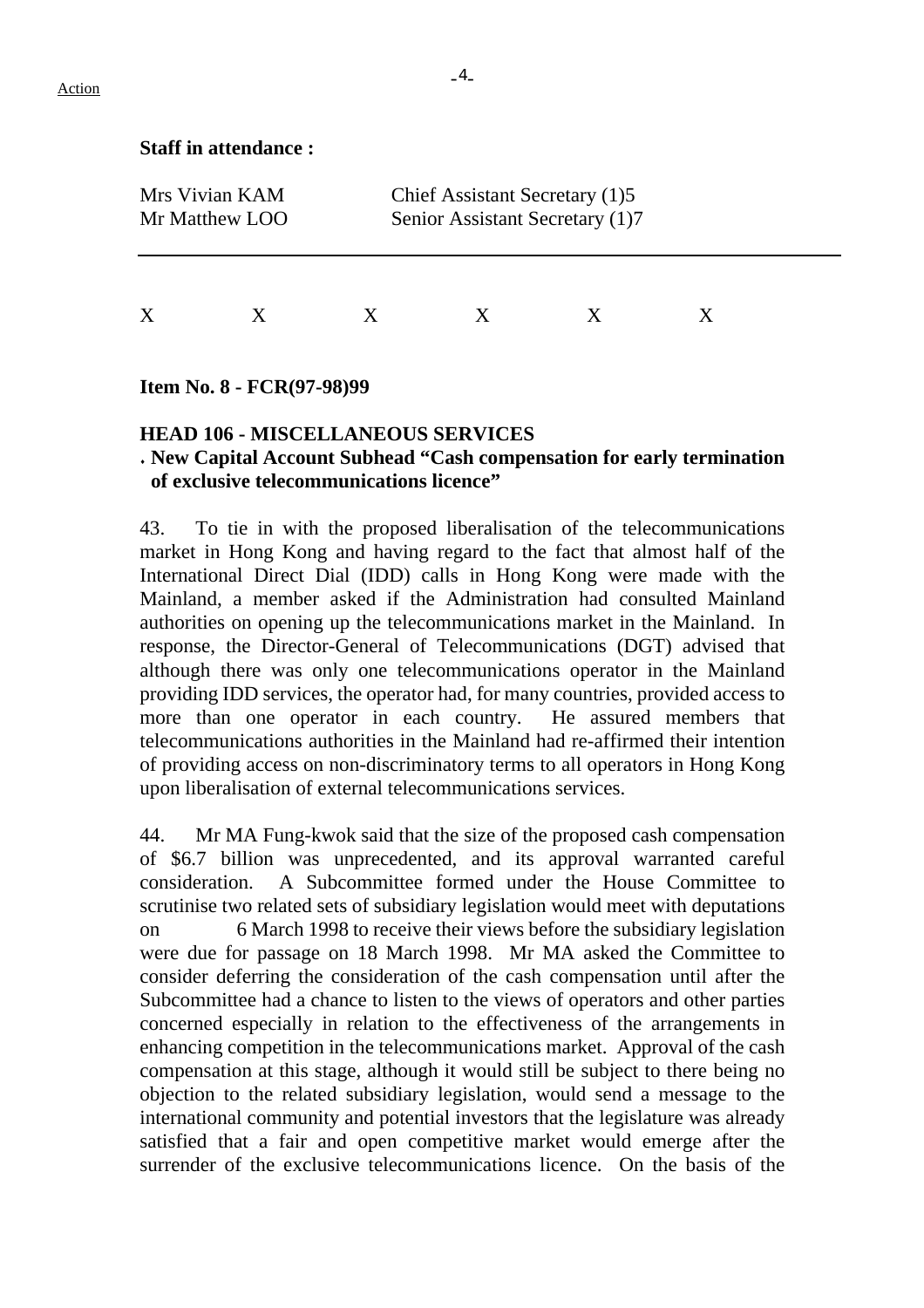### **Staff in attendance :**

| Mrs Vivian KAM<br>Mr Matthew LOO |  | Chief Assistant Secretary (1)5<br>Senior Assistant Secretary (1)7 |  |  |  |  |  |
|----------------------------------|--|-------------------------------------------------------------------|--|--|--|--|--|
| X                                |  |                                                                   |  |  |  |  |  |

#### **Item No. 8 - FCR(97-98)99**

## **HEAD 106 - MISCELLANEOUS SERVICES**

### ♦ **New Capital Account Subhead "Cash compensation for early termination of exclusive telecommunications licence"**

43. To tie in with the proposed liberalisation of the telecommunications market in Hong Kong and having regard to the fact that almost half of the International Direct Dial (IDD) calls in Hong Kong were made with the Mainland, a member asked if the Administration had consulted Mainland authorities on opening up the telecommunications market in the Mainland. In response, the Director-General of Telecommunications (DGT) advised that although there was only one telecommunications operator in the Mainland providing IDD services, the operator had, for many countries, provided access to more than one operator in each country. He assured members that telecommunications authorities in the Mainland had re-affirmed their intention of providing access on non-discriminatory terms to all operators in Hong Kong upon liberalisation of external telecommunications services.

44. Mr MA Fung-kwok said that the size of the proposed cash compensation of \$6.7 billion was unprecedented, and its approval warranted careful consideration. A Subcommittee formed under the House Committee to scrutinise two related sets of subsidiary legislation would meet with deputations on 6 March 1998 to receive their views before the subsidiary legislation were due for passage on 18 March 1998. Mr MA asked the Committee to consider deferring the consideration of the cash compensation until after the Subcommittee had a chance to listen to the views of operators and other parties concerned especially in relation to the effectiveness of the arrangements in enhancing competition in the telecommunications market. Approval of the cash compensation at this stage, although it would still be subject to there being no objection to the related subsidiary legislation, would send a message to the international community and potential investors that the legislature was already satisfied that a fair and open competitive market would emerge after the surrender of the exclusive telecommunications licence. On the basis of the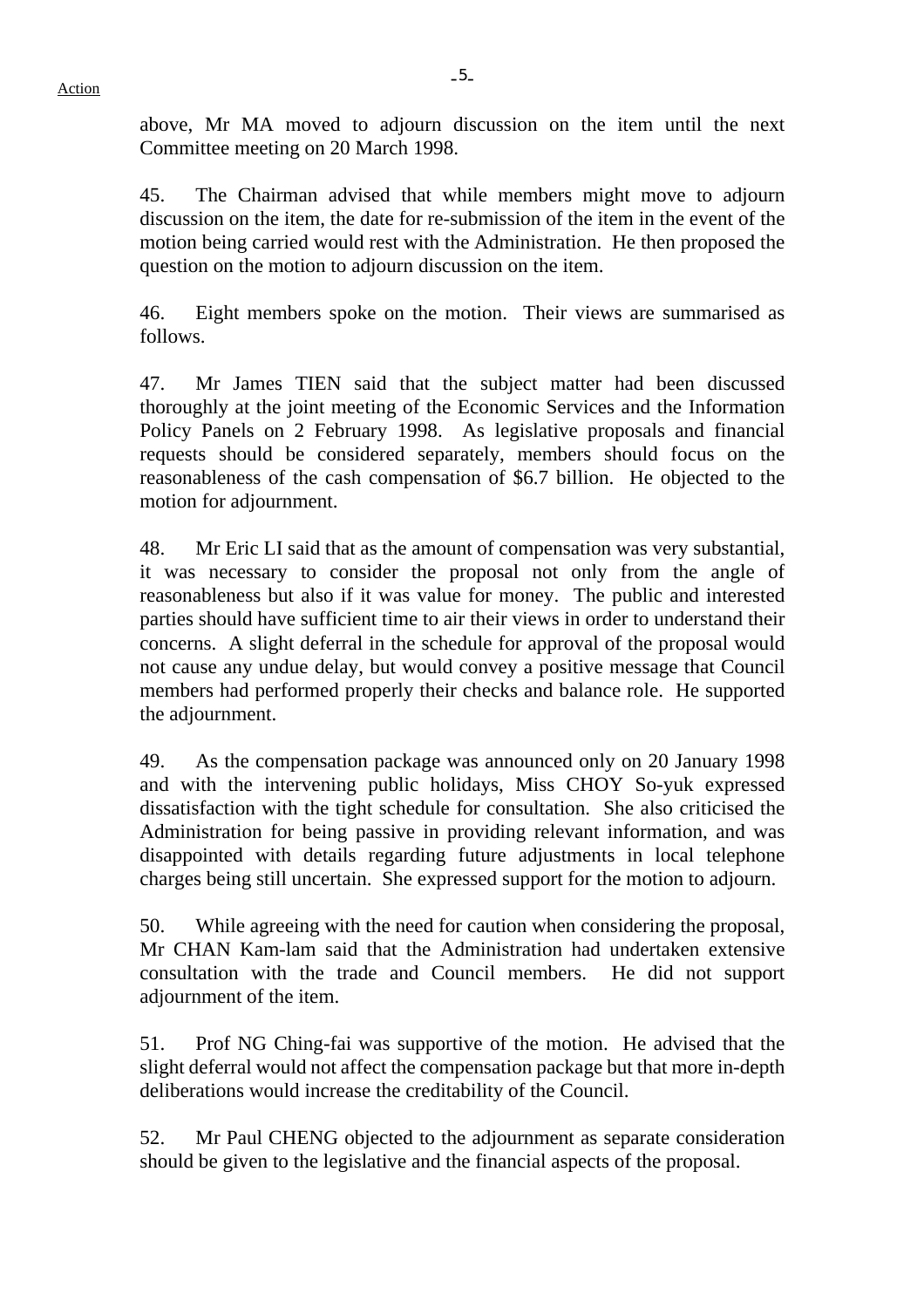above, Mr MA moved to adjourn discussion on the item until the next Committee meeting on 20 March 1998.

45. The Chairman advised that while members might move to adjourn discussion on the item, the date for re-submission of the item in the event of the motion being carried would rest with the Administration. He then proposed the question on the motion to adjourn discussion on the item.

46. Eight members spoke on the motion. Their views are summarised as follows.

47. Mr James TIEN said that the subject matter had been discussed thoroughly at the joint meeting of the Economic Services and the Information Policy Panels on 2 February 1998. As legislative proposals and financial requests should be considered separately, members should focus on the reasonableness of the cash compensation of \$6.7 billion. He objected to the motion for adjournment.

48. Mr Eric LI said that as the amount of compensation was very substantial, it was necessary to consider the proposal not only from the angle of reasonableness but also if it was value for money. The public and interested parties should have sufficient time to air their views in order to understand their concerns. A slight deferral in the schedule for approval of the proposal would not cause any undue delay, but would convey a positive message that Council members had performed properly their checks and balance role. He supported the adjournment.

49. As the compensation package was announced only on 20 January 1998 and with the intervening public holidays, Miss CHOY So-yuk expressed dissatisfaction with the tight schedule for consultation. She also criticised the Administration for being passive in providing relevant information, and was disappointed with details regarding future adjustments in local telephone charges being still uncertain. She expressed support for the motion to adjourn.

50. While agreeing with the need for caution when considering the proposal, Mr CHAN Kam-lam said that the Administration had undertaken extensive consultation with the trade and Council members. He did not support adjournment of the item.

51. Prof NG Ching-fai was supportive of the motion. He advised that the slight deferral would not affect the compensation package but that more in-depth deliberations would increase the creditability of the Council.

52. Mr Paul CHENG objected to the adjournment as separate consideration should be given to the legislative and the financial aspects of the proposal.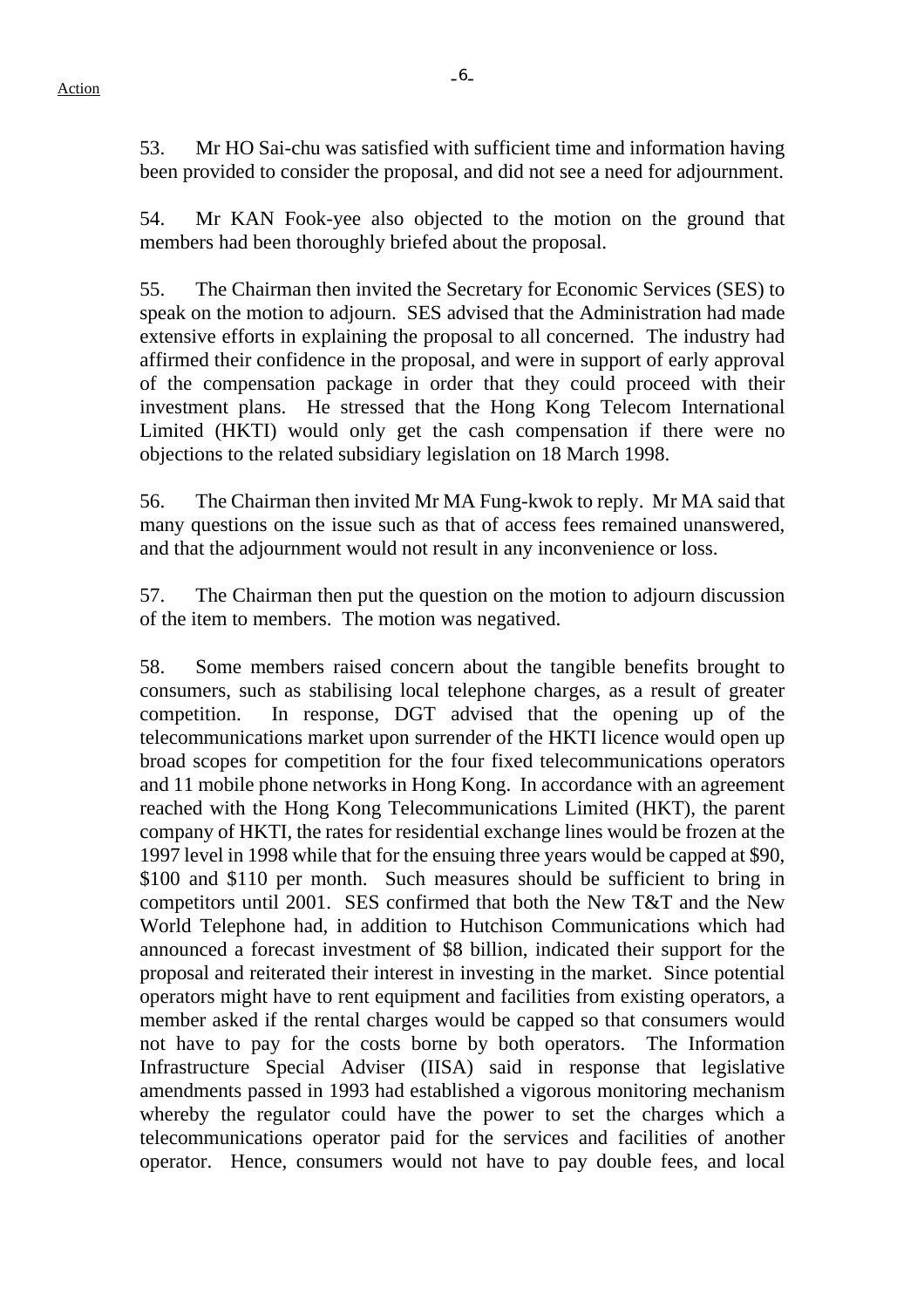$-6-$ 

53. Mr HO Sai-chu was satisfied with sufficient time and information having been provided to consider the proposal, and did not see a need for adjournment.

54. Mr KAN Fook-yee also objected to the motion on the ground that members had been thoroughly briefed about the proposal.

55. The Chairman then invited the Secretary for Economic Services (SES) to speak on the motion to adjourn. SES advised that the Administration had made extensive efforts in explaining the proposal to all concerned. The industry had affirmed their confidence in the proposal, and were in support of early approval of the compensation package in order that they could proceed with their investment plans. He stressed that the Hong Kong Telecom International Limited (HKTI) would only get the cash compensation if there were no objections to the related subsidiary legislation on 18 March 1998.

56. The Chairman then invited Mr MA Fung-kwok to reply. Mr MA said that many questions on the issue such as that of access fees remained unanswered, and that the adjournment would not result in any inconvenience or loss.

57. The Chairman then put the question on the motion to adjourn discussion of the item to members. The motion was negatived.

58. Some members raised concern about the tangible benefits brought to consumers, such as stabilising local telephone charges, as a result of greater competition. In response, DGT advised that the opening up of the telecommunications market upon surrender of the HKTI licence would open up broad scopes for competition for the four fixed telecommunications operators and 11 mobile phone networks in Hong Kong. In accordance with an agreement reached with the Hong Kong Telecommunications Limited (HKT), the parent company of HKTI, the rates for residential exchange lines would be frozen at the 1997 level in 1998 while that for the ensuing three years would be capped at \$90, \$100 and \$110 per month. Such measures should be sufficient to bring in competitors until 2001. SES confirmed that both the New T&T and the New World Telephone had, in addition to Hutchison Communications which had announced a forecast investment of \$8 billion, indicated their support for the proposal and reiterated their interest in investing in the market. Since potential operators might have to rent equipment and facilities from existing operators, a member asked if the rental charges would be capped so that consumers would not have to pay for the costs borne by both operators. The Information Infrastructure Special Adviser (IISA) said in response that legislative amendments passed in 1993 had established a vigorous monitoring mechanism whereby the regulator could have the power to set the charges which a telecommunications operator paid for the services and facilities of another operator. Hence, consumers would not have to pay double fees, and local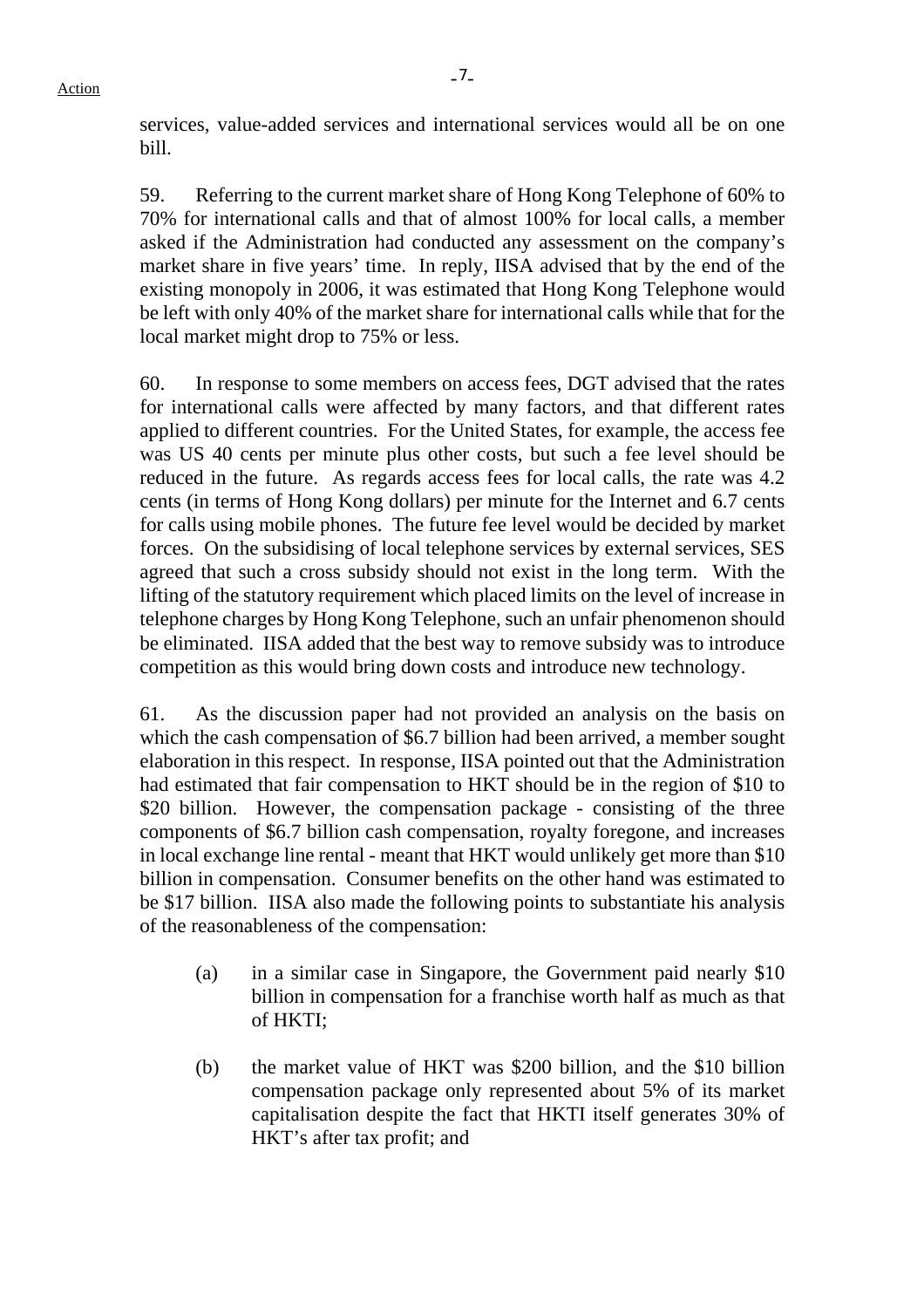services, value-added services and international services would all be on one bill.

59. Referring to the current market share of Hong Kong Telephone of 60% to 70% for international calls and that of almost 100% for local calls, a member asked if the Administration had conducted any assessment on the company's market share in five years' time. In reply, IISA advised that by the end of the existing monopoly in 2006, it was estimated that Hong Kong Telephone would be left with only 40% of the market share for international calls while that for the local market might drop to 75% or less.

60. In response to some members on access fees, DGT advised that the rates for international calls were affected by many factors, and that different rates applied to different countries. For the United States, for example, the access fee was US 40 cents per minute plus other costs, but such a fee level should be reduced in the future. As regards access fees for local calls, the rate was 4.2 cents (in terms of Hong Kong dollars) per minute for the Internet and 6.7 cents for calls using mobile phones. The future fee level would be decided by market forces. On the subsidising of local telephone services by external services, SES agreed that such a cross subsidy should not exist in the long term. With the lifting of the statutory requirement which placed limits on the level of increase in telephone charges by Hong Kong Telephone, such an unfair phenomenon should be eliminated. IISA added that the best way to remove subsidy was to introduce competition as this would bring down costs and introduce new technology.

61. As the discussion paper had not provided an analysis on the basis on which the cash compensation of \$6.7 billion had been arrived, a member sought elaboration in this respect. In response, IISA pointed out that the Administration had estimated that fair compensation to HKT should be in the region of \$10 to \$20 billion. However, the compensation package - consisting of the three components of \$6.7 billion cash compensation, royalty foregone, and increases in local exchange line rental - meant that HKT would unlikely get more than \$10 billion in compensation. Consumer benefits on the other hand was estimated to be \$17 billion. IISA also made the following points to substantiate his analysis of the reasonableness of the compensation:

- (a) in a similar case in Singapore, the Government paid nearly \$10 billion in compensation for a franchise worth half as much as that of HKTI;
- (b) the market value of HKT was \$200 billion, and the \$10 billion compensation package only represented about 5% of its market capitalisation despite the fact that HKTI itself generates 30% of HKT's after tax profit; and